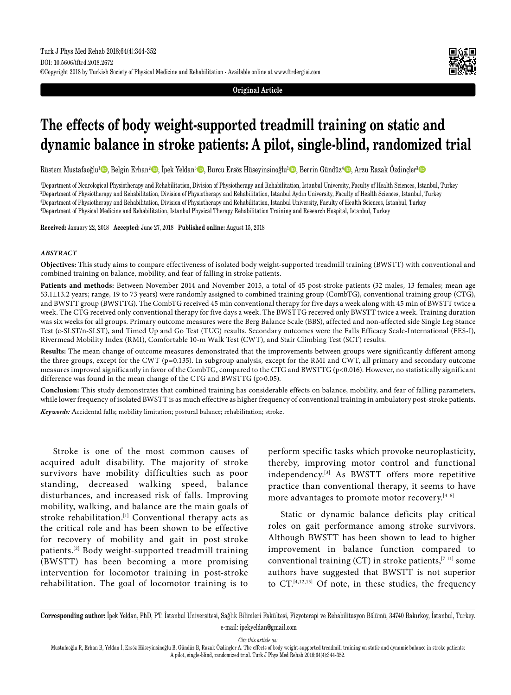**Original Article**

# **The effects of body weight-supported treadmill training on static and dynamic balance in stroke patients: A pilot, single-blind, randomized trial**

Rüstem Mustafaoğlu<sup>1</sup>©, Belgin Erhan<sup>2</sup>©, İpek Yeldan<sup>3</sup>©, Burcu Ersöz Hüseyinsinoğlu<sup>1</sup>©, Berrin Gündüz<sup>4</sup>©, Arzu Razak Özdinçler<sup>3</sup>©

 Department of Neurological Physiotherapy and Rehabilitation, Division of Physiotherapy and Rehabilitation, Istanbul University, Faculty of Health Sciences, Istanbul, Turkey Department of Physiotherapy and Rehabilitation, Division of Physiotherapy and Rehabilitation, Istanbul Aydın University, Faculty of Health Sciences, Istanbul, Turkey Department of Physiotherapy and Rehabilitation, Division of Physiotherapy and Rehabilitation, Istanbul University, Faculty of Health Sciences, Istanbul, Turkey Department of Physical Medicine and Rehabilitation, Istanbul Physical Therapy Rehabilitation Training and Research Hospital, Istanbul, Turkey

**Received:** January 22, 2018 **Accepted:** June 27, 2018 **Published online:** August 15, 2018

#### *ABSTRACT*

**Objectives:** This study aims to compare effectiveness of isolated body weight-supported treadmill training (BWSTT) with conventional and combined training on balance, mobility, and fear of falling in stroke patients.

**Patients and methods:** Between November 2014 and November 2015, a total of 45 post-stroke patients (32 males, 13 females; mean age 53.1±13.2 years; range, 19 to 73 years) were randomly assigned to combined training group (CombTG), conventional training group (CTG), and BWSTT group (BWSTTG). The CombTG received 45 min conventional therapy for five days a week along with 45 min of BWSTT twice a week. The CTG received only conventional therapy for five days a week. The BWSTTG received only BWSTT twice a week. Training duration was six weeks for all groups. Primary outcome measures were the Berg Balance Scale (BBS), affected and non-affected side Single Leg Stance Test (e-SLST/n-SLST), and Timed Up and Go Test (TUG) results. Secondary outcomes were the Falls Efficacy Scale-International (FES-I), Rivermead Mobility Index (RMI), Comfortable 10-m Walk Test (CWT), and Stair Climbing Test (SCT) results.

**Results:** The mean change of outcome measures demonstrated that the improvements between groups were significantly different among the three groups, except for the CWT (p=0.135). In subgroup analysis, except for the RMI and CWT, all primary and secondary outcome measures improved significantly in favor of the CombTG, compared to the CTG and BWSTTG (p<0.016). However, no statistically significant difference was found in the mean change of the CTG and BWSTTG (p>0.05).

**Conclusion:** This study demonstrates that combined training has considerable effects on balance, mobility, and fear of falling parameters, while lower frequency of isolated BWSTT is as much effective as higher frequency of conventional training in ambulatory post-stroke patients.

*Keywords:* Accidental falls; mobility limitation; postural balance; rehabilitation; stroke.

Stroke is one of the most common causes of acquired adult disability. The majority of stroke survivors have mobility difficulties such as poor standing, decreased walking speed, balance disturbances, and increased risk of falls. Improving mobility, walking, and balance are the main goals of stroke rehabilitation.<sup>[1]</sup> Conventional therapy acts as the critical role and has been shown to be effective for recovery of mobility and gait in post-stroke patients.[2] Body weight-supported treadmill training (BWSTT) has been becoming a more promising intervention for locomotor training in post-stroke rehabilitation. The goal of locomotor training is to perform specific tasks which provoke neuroplasticity, thereby, improving motor control and functional independency.[3] As BWSTT offers more repetitive practice than conventional therapy, it seems to have more advantages to promote motor recovery.<sup>[4-6]</sup>

Static or dynamic balance deficits play critical roles on gait performance among stroke survivors. Although BWSTT has been shown to lead to higher improvement in balance function compared to conventional training  $(CT)$  in stroke patients,  $[7-11]$  some authors have suggested that BWSTT is not superior to CT.[4,12,13] Of note, in these studies, the frequency

*Cite this article as:*

**Corresponding author:** İpek Yeldan, PhD, PT. İstanbul Üniversitesi, Sağlık Bilimleri Fakültesi, Fizyoterapi ve Rehabilitasyon Bölümü, 34740 Bakırköy, İstanbul, Turkey. e-mail: ipekyeldan@gmail.com

Mustafaoğlu R, Erhan B, Yeldan İ, Ersöz Hüseyinsinoğlu B, Gündüz B, Razak Özdinçler A. The effects of body weight-supported treadmill training on static and dynamic balance in stroke patients: A pilot, single-blind, randomized trial. Turk J Phys Med Rehab 2018;64(4):344-352.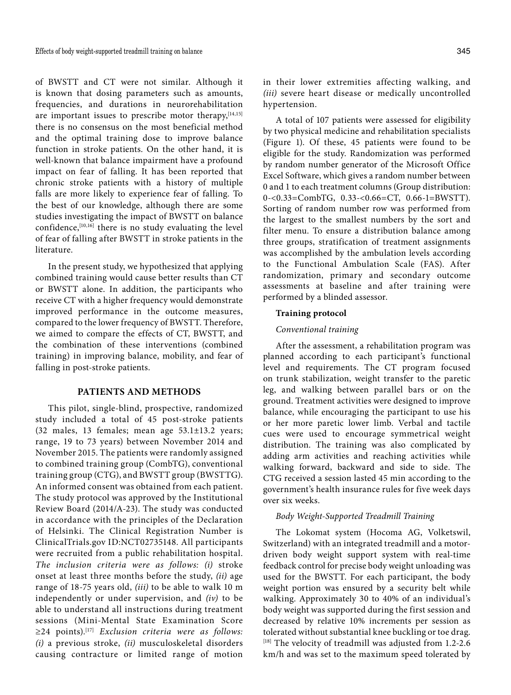of BWSTT and CT were not similar. Although it is known that dosing parameters such as amounts, frequencies, and durations in neurorehabilitation are important issues to prescribe motor therapy,  $[14,15]$ there is no consensus on the most beneficial method and the optimal training dose to improve balance function in stroke patients. On the other hand, it is well-known that balance impairment have a profound impact on fear of falling. It has been reported that chronic stroke patients with a history of multiple falls are more likely to experience fear of falling. To the best of our knowledge, although there are some studies investigating the impact of BWSTT on balance confidence, <a>[10,16]</a> there is no study evaluating the level of fear of falling after BWSTT in stroke patients in the literature.

In the present study, we hypothesized that applying combined training would cause better results than CT or BWSTT alone. In addition, the participants who receive CT with a higher frequency would demonstrate improved performance in the outcome measures, compared to the lower frequency of BWSTT. Therefore, we aimed to compare the effects of CT, BWSTT, and the combination of these interventions (combined training) in improving balance, mobility, and fear of falling in post-stroke patients.

# **PATIENTS AND METHODS**

This pilot, single-blind, prospective, randomized study included a total of 45 post-stroke patients (32 males, 13 females; mean age 53.1±13.2 years; range, 19 to 73 years) between November 2014 and November 2015. The patients were randomly assigned to combined training group (CombTG), conventional training group (CTG), and BWSTT group (BWSTTG). An informed consent was obtained from each patient. The study protocol was approved by the Institutional Review Board (2014/A-23). The study was conducted in accordance with the principles of the Declaration of Helsinki. The Clinical Registration Number is ClinicalTrials.gov ID:NCT02735148. All participants were recruited from a public rehabilitation hospital. *The inclusion criteria were as follows: (i)* stroke onset at least three months before the study, *(ii)* age range of 18-75 years old, *(iii)* to be able to walk 10 m independently or under supervision, and *(iv)* to be able to understand all instructions during treatment sessions (Mini-Mental State Examination Score ≥24 points).[17] *Exclusion criteria were as follows: (i)* a previous stroke, *(ii)* musculoskeletal disorders causing contracture or limited range of motion in their lower extremities affecting walking, and *(iii)* severe heart disease or medically uncontrolled hypertension.

A total of 107 patients were assessed for eligibility by two physical medicine and rehabilitation specialists (Figure 1). Of these, 45 patients were found to be eligible for the study. Randomization was performed by random number generator of the Microsoft Office Excel Software, which gives a random number between 0 and 1 to each treatment columns (Group distribution: 0-<0.33=CombTG, 0.33-<0.66=CT, 0.66-1=BWSTT). Sorting of random number row was performed from the largest to the smallest numbers by the sort and filter menu. To ensure a distribution balance among three groups, stratification of treatment assignments was accomplished by the ambulation levels according to the Functional Ambulation Scale (FAS). After randomization, primary and secondary outcome assessments at baseline and after training were performed by a blinded assessor.

# **Training protocol**

# *Conventional training*

After the assessment, a rehabilitation program was planned according to each participant's functional level and requirements. The CT program focused on trunk stabilization, weight transfer to the paretic leg, and walking between parallel bars or on the ground. Treatment activities were designed to improve balance, while encouraging the participant to use his or her more paretic lower limb. Verbal and tactile cues were used to encourage symmetrical weight distribution. The training was also complicated by adding arm activities and reaching activities while walking forward, backward and side to side. The CTG received a session lasted 45 min according to the government's health insurance rules for five week days over six weeks.

# *Body Weight-Supported Treadmill Training*

The Lokomat system (Hocoma AG, Volketswil, Switzerland) with an integrated treadmill and a motordriven body weight support system with real-time feedback control for precise body weight unloading was used for the BWSTT. For each participant, the body weight portion was ensured by a security belt while walking. Approximately 30 to 40% of an individual's body weight was supported during the first session and decreased by relative 10% increments per session as tolerated without substantial knee buckling or toe drag.  $[18]$  The velocity of treadmill was adjusted from 1.2-2.6 km/h and was set to the maximum speed tolerated by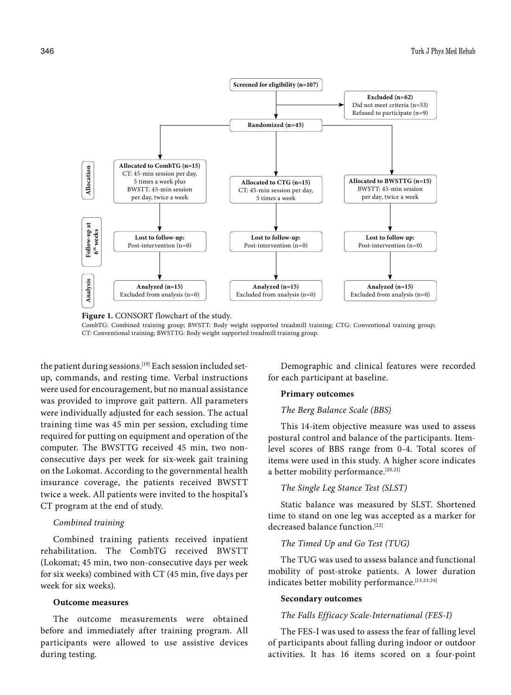

**Figure 1.** CONSORT flowchart of the study.

CombTG: Combined training group; BWSTT: Body weight supported treadmill training; CTG: Conventional training group; CT: Conventional training; BWSTTG: Body weight supported treadmill training group.

the patient during sessions.<sup>[19]</sup> Each session included setup, commands, and resting time. Verbal instructions were used for encouragement, but no manual assistance was provided to improve gait pattern. All parameters were individually adjusted for each session. The actual training time was 45 min per session, excluding time required for putting on equipment and operation of the computer. The BWSTTG received 45 min, two nonconsecutive days per week for six-week gait training on the Lokomat. According to the governmental health insurance coverage, the patients received BWSTT twice a week. All patients were invited to the hospital's CT program at the end of study.

## *Combined training*

Combined training patients received inpatient rehabilitation. The CombTG received BWSTT (Lokomat; 45 min, two non-consecutive days per week for six weeks) combined with CT (45 min, five days per week for six weeks).

# **Outcome measures**

The outcome measurements were obtained before and immediately after training program. All participants were allowed to use assistive devices during testing.

Demographic and clinical features were recorded for each participant at baseline.

#### **Primary outcomes**

# *The Berg Balance Scale (BBS)*

This 14-item objective measure was used to assess postural control and balance of the participants. Itemlevel scores of BBS range from 0-4. Total scores of items were used in this study. A higher score indicates a better mobility performance.<sup>[20,21]</sup>

#### *The Single Leg Stance Test (SLST)*

Static balance was measured by SLST. Shortened time to stand on one leg was accepted as a marker for decreased balance function.<sup>[22]</sup>

## *The Timed Up and Go Test (TUG)*

The TUG was used to assess balance and functional mobility of post-stroke patients. A lower duration indicates better mobility performance.<sup>[13,23,24]</sup>

## **Secondary outcomes**

#### *The Falls Efficacy Scale-International (FES-I)*

The FES-I was used to assess the fear of falling level of participants about falling during indoor or outdoor activities. It has 16 items scored on a four-point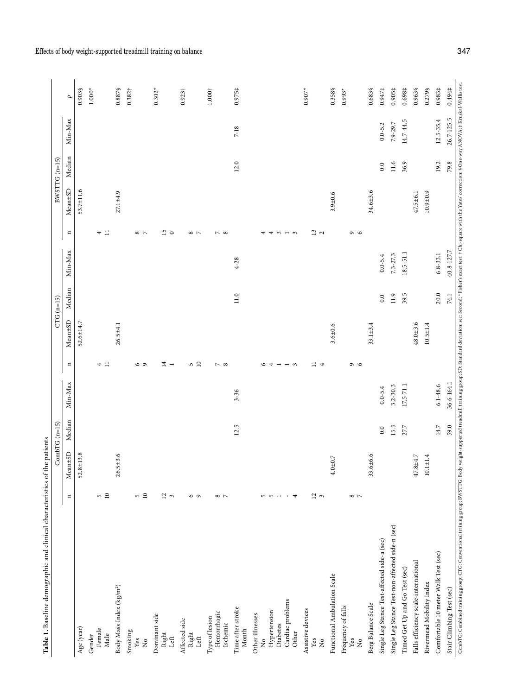| Table 1. Baseline demographic and clinical characteristics of the patients                                                                                                                                                    |                 |                 |                 |               |                               |              |              |              |                   |                |                |               |                    |
|-------------------------------------------------------------------------------------------------------------------------------------------------------------------------------------------------------------------------------|-----------------|-----------------|-----------------|---------------|-------------------------------|--------------|--------------|--------------|-------------------|----------------|----------------|---------------|--------------------|
|                                                                                                                                                                                                                               |                 |                 | $CombTG (n=15)$ |               |                               |              | $CTG$ (n=15) |              |                   |                | $BWSTTG(n=15)$ |               |                    |
|                                                                                                                                                                                                                               | $\mathbf{u}$    | $Mean \pm SD$   | Median          | Min-Max       | $\blacksquare$                | Mean:5D      | Median       | Min-Max      | $\blacksquare$    | Mean:SD        | Median         | Min-Max       | ρ                  |
| Age (year)                                                                                                                                                                                                                    |                 | $52.8 \pm 13.8$ |                 |               |                               | 52.6±14.7    |              |              |                   | 53.7±11.6      |                |               | 0.903\$            |
| Gender                                                                                                                                                                                                                        |                 |                 |                 |               |                               |              |              |              |                   |                |                |               | $1.000*$           |
| Female<br>Male                                                                                                                                                                                                                | 50              |                 |                 |               | $\equiv$<br>4                 |              |              |              | $\equiv$<br>4     |                |                |               |                    |
|                                                                                                                                                                                                                               |                 | $26.5 + 3.6$    |                 |               |                               | $26.5 + 4.1$ |              |              |                   | $27.1 + 4.9$   |                |               |                    |
| Body Mass Index (kg/m <sup>2</sup> )                                                                                                                                                                                          |                 |                 |                 |               |                               |              |              |              |                   |                |                |               | 0.887\$            |
| Smoking<br>Yes                                                                                                                                                                                                                |                 |                 |                 |               |                               |              |              |              |                   |                |                |               | $0.382\dagger$     |
| $\stackrel{\circ}{\mathbf{Z}}$                                                                                                                                                                                                | 50              |                 |                 |               | 69                            |              |              |              | $\infty$ $\sim$   |                |                |               |                    |
| Dominant side                                                                                                                                                                                                                 |                 |                 |                 |               |                               |              |              |              |                   |                |                |               | $0.302*$           |
| Right                                                                                                                                                                                                                         | $\frac{2}{3}$ ന |                 |                 |               | $\overline{=}$ $-$            |              |              |              | 15                |                |                |               |                    |
| Left                                                                                                                                                                                                                          |                 |                 |                 |               |                               |              |              |              |                   |                |                |               |                    |
| Affected side                                                                                                                                                                                                                 |                 |                 |                 |               |                               |              |              |              |                   |                |                |               | $0.923\dagger$     |
| Right<br>Left                                                                                                                                                                                                                 | $\circ$ $\circ$ |                 |                 |               | 50                            |              |              |              | $\infty$ $\sim$   |                |                |               |                    |
| Type of lesion                                                                                                                                                                                                                |                 |                 |                 |               |                               |              |              |              |                   |                |                |               | 1.000 <sup>†</sup> |
| Hemorrhagic                                                                                                                                                                                                                   | $\infty$ $\sim$ |                 |                 |               |                               |              |              |              | $\sim$ $\infty$   |                |                |               |                    |
| Ischemic                                                                                                                                                                                                                      |                 |                 |                 |               | $\sim$ $\infty$               |              |              |              |                   |                |                |               |                    |
| Time after stroke<br>Month                                                                                                                                                                                                    |                 |                 | 12.5            | $3 - 36$      |                               |              | 11.0         | $4 - 28$     |                   |                | 12.0           | $7 - 18$      | $0.975\frac{1}{7}$ |
| Other illnesses                                                                                                                                                                                                               |                 |                 |                 |               |                               |              |              |              |                   |                |                |               |                    |
| $\frac{1}{2}$                                                                                                                                                                                                                 |                 |                 |                 |               | 6                             |              |              |              | 4                 |                |                |               |                    |
| Hypertension<br>Diabetes                                                                                                                                                                                                      | $5 - 5$         |                 |                 |               | 4<br>$\overline{\phantom{a}}$ |              |              |              | 4                 |                |                |               |                    |
| Cardiac problems                                                                                                                                                                                                              |                 |                 |                 |               |                               |              |              |              | $\omega - \omega$ |                |                |               |                    |
| Other                                                                                                                                                                                                                         | $\overline{4}$  |                 |                 |               | $ \circ$                      |              |              |              |                   |                |                |               |                    |
| Assistive devices                                                                                                                                                                                                             |                 |                 |                 |               |                               |              |              |              |                   |                |                |               | $0.907*$           |
| Yes<br>$\frac{1}{2}$                                                                                                                                                                                                          | $\frac{2}{3}$   |                 |                 |               | ≔<br>$\overline{\phantom{a}}$ |              |              |              | $\frac{3}{2}$     |                |                |               |                    |
| Functional Ambulation Scale                                                                                                                                                                                                   |                 | $4.0 + 0.7$     |                 |               |                               | $3.6 + 0.6$  |              |              |                   | $3.9 + 0.6$    |                |               | 0.358\$            |
|                                                                                                                                                                                                                               |                 |                 |                 |               |                               |              |              |              |                   |                |                |               |                    |
| Frequency of falls<br>Yes<br>$\mathsf{S}^{\mathsf{o}}$                                                                                                                                                                        | $\infty$ $\sim$ |                 |                 |               | $\circ$                       |              |              |              | $\circ$           |                |                |               | $0.993*$           |
| Berg Balance Scale                                                                                                                                                                                                            |                 | 33.6±6.6        |                 |               |                               | $33.1 + 3.4$ |              |              |                   | 34.6±3.6       |                |               | 0.683\$            |
| Single Leg Stance Test-affected side-a (sec)                                                                                                                                                                                  |                 |                 | 0.0             | $0.0 - 5.4$   |                               |              | 0.0          | $0.0 - 5.4$  |                   |                | 0.0            | $0.0 - 5.2$   | $0.947$ ‡          |
| Single Leg Stance Test-non-affected side-n (sec)                                                                                                                                                                              |                 |                 | 15.5            | $3.2 - 30.3$  |                               |              | 11.9         | $7.3 - 27.3$ |                   |                | $11.6$         | 7.9-29.7      | 0.905‡             |
| Timed Get Up and Go Test (sec)                                                                                                                                                                                                |                 |                 | 27.7            | $17.5 - 71.1$ |                               |              | 39.5         | 18.5-51.1    |                   |                | 36.9           | 14.7-44.5     | 0.698‡             |
| Falls efficiency scale-international                                                                                                                                                                                          |                 | 47.8±4.7        |                 |               |                               | $48.0 + 3.6$ |              |              |                   | $47.5 \pm 6.1$ |                |               | 0.963§             |
| Rivermead Mobility Index                                                                                                                                                                                                      |                 | $10.1 + 1.4$    |                 |               |                               | $10.5 + 1.4$ |              |              |                   | $10.9 + 0.9$   |                |               | 0.279§             |
| Comfortable 10 meter Walk Test (sec)                                                                                                                                                                                          |                 |                 | 14.7            | $6.1 - 48.6$  |                               |              | $20.0$       | $6.8 - 33.1$ |                   |                | 19.2           | $12.5 - 35.4$ | 0.983‡             |
| Stair Climbing Test (sec)                                                                                                                                                                                                     |                 |                 | 59.0            | 36.6-164.1    |                               |              | 74.1         | 40.8-127.7   |                   |                | 79.8           | 26.7-125.5    | 0.494‡             |
| CombitG: Combined training group; CfG: Conventional training group; BNSTTG: Body weight-supported treadmill raining group; SD: Standard deviation; sec: Second; * Eishe's search exact test; † Chi-square with the Yates' orr |                 |                 |                 |               |                               |              |              |              |                   |                |                |               |                    |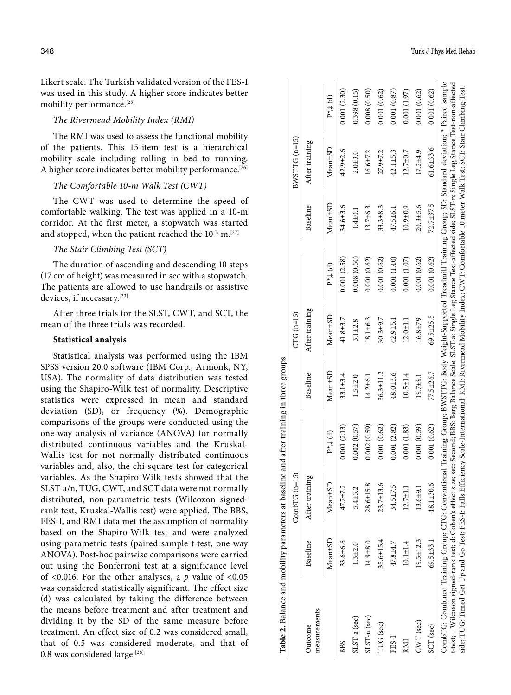Likert scale. The Turkish validated version of the FES-I was used in this study. A higher score indicates better mobility performance.[25]

# *The Rivermead Mobility Index (RMI)*

The RMI was used to assess the functional mobility of the patients. This 15-item test is a hierarchical mobility scale including rolling in bed to running. A higher score indicates better mobility performance.<sup>[26]</sup>

#### *The Comfortable 10-m Walk Test (CWT)*

The CWT was used to determine the speed of comfortable walking. The test was applied in a 10-m corridor. At the first meter, a stopwatch was started and stopped, when the patient reached the 10<sup>th</sup> m.<sup>[27]</sup>

# *The Stair Climbing Test (SCT)*

The duration of ascending and descending 10 steps (17 cm of height) was measured in sec with a stopwatch. The patients are allowed to use handrails or assistive devices, if necessary.[23]

After three trials for the SLST, CWT, and SCT, the mean of the three trials was recorded.

#### **Statistical analysis**

Statistical analysis was performed using the IBM SPSS version 20.0 software (IBM Corp., Armonk, NY, USA). The normality of data distribution was tested using the Shapiro-Wilk test of normality. Descriptive statistics were expressed in mean and standard deviation (SD), or frequency (%). Demographic comparisons of the groups were conducted using the one-way analysis of variance (ANOVA) for normally distributed continuous variables and the Kruskal-Wallis test for not normally distributed continuous variables and, also, the chi-square test for categorical variables. As the Shapiro-Wilk tests showed that the SLST-a/n, TUG, CWT, and SCT data were not normally distributed, non-parametric tests (Wilcoxon signedrank test, Kruskal-Wallis test) were applied. The BBS, FES-I, and RMI data met the assumption of normality based on the Shapiro-Wilk test and were analyzed using parametric tests (paired sample t-test, one-way ANOVA). Post-hoc pairwise comparisons were carried out using the Bonferroni test at a significance level of <0.016. For the other analyses, a *p* value of <0.05 was considered statistically significant. The effect size (d) was calculated by taking the difference between the means before treatment and after treatment and dividing it by the SD of the same measure before treatment. An effect size of 0.2 was considered small, that of 0.5 was considered moderate, and that of 0.8 was considered large.<sup>[28]</sup>

|                                                                                                                                                                                                                                                                                                                                                                                                                                                                                                                                                        |                 | ົດ<br>$Comb fn=1$ |               |                 | $CTG$ (n=15)    |                    |                | $BWSTTG(n=15)$  |             |
|--------------------------------------------------------------------------------------------------------------------------------------------------------------------------------------------------------------------------------------------------------------------------------------------------------------------------------------------------------------------------------------------------------------------------------------------------------------------------------------------------------------------------------------------------------|-----------------|-------------------|---------------|-----------------|-----------------|--------------------|----------------|-----------------|-------------|
| measurements<br>Outcome                                                                                                                                                                                                                                                                                                                                                                                                                                                                                                                                | Baseline        | After training    |               | Baseline        | After training  |                    | Baseline       | After training  |             |
|                                                                                                                                                                                                                                                                                                                                                                                                                                                                                                                                                        | Mean±SD         | Mean±SD           | $P^*$ # $(d)$ | Mean±SD         | Mean±SD         | $P^* \ddagger$ (d) | Mean±SD        | $Mean \pm SD$   | $P^*$ # (d) |
| <b>BBS</b>                                                                                                                                                                                                                                                                                                                                                                                                                                                                                                                                             | 33.6±6.6        | 47.7±7.2          | 0.001(2.13)   | $33.1 \pm 3.4$  | $41.8 + 3.7$    | 0.001(2.58)        | 34.6±3.6       | $42.9 \pm 2.6$  | 0.001(2.30) |
| SLST-a (sec)                                                                                                                                                                                                                                                                                                                                                                                                                                                                                                                                           | $1.3 + 2.0$     | $5.4 + 3.2$       | 0.002(0.57)   | $1.5 + 2.0$     | $3.1 \pm 2.8$   | 0.008(0.50)        | $1.4 + 0.1$    | $2.0 + 3.0$     | 0.398(0.15) |
| $SLST-n$ (sec)                                                                                                                                                                                                                                                                                                                                                                                                                                                                                                                                         | $14.9 + 8.0$    | 28.6±15.8         | 0.002(0.59)   | $14.2 \pm 6.1$  | $18.1 \pm 6.3$  | 0.001(0.62)        | $13.7\pm 6.3$  | 16.6±7.2        | 0.008(0.50) |
| TUG (sec)                                                                                                                                                                                                                                                                                                                                                                                                                                                                                                                                              | $35.6 \pm 15.4$ | $23.7 \pm 13.6$   | 0.001(0.62)   | $36.3 \pm 11.2$ | $30.3 + 9.7$    | 0.001(0.62)        | $33.3 \pm 8.3$ | 27.9±7.2        | 0.001(0.62) |
| FES-I                                                                                                                                                                                                                                                                                                                                                                                                                                                                                                                                                  | 47.8±4.7        | 34.5±7.5          | 0.001(2.82)   | 48.0±3.6        | $42.9 \pm 5.1$  | 0.001(1.40)        | $47.5 \pm 6.1$ | $42.1 \pm 5.3$  | 0.001(0.87) |
| RMI                                                                                                                                                                                                                                                                                                                                                                                                                                                                                                                                                    | $10.1 + 1.4$    | $12.7 \pm 1.1$    | 0.001(1.83)   | $10.5 \pm 1.4$  | $12.0 + 1.1$    | 0.001(1.07)        | $10.9 + 0.9$   | $12.7 + 0.7$    | 0.001(1.97) |
| CWT (sec)                                                                                                                                                                                                                                                                                                                                                                                                                                                                                                                                              | $19.5 \pm 12.3$ | $13.6 + 9.1$      | 0.001(0.59)   | $19.7 + 9.1$    | $16.8 + 7.9$    | 0.001(0.62)        | $20.3 + 5.6$   | $17.2 + 4.9$    | 0.001(0.62) |
| SCT (sec)                                                                                                                                                                                                                                                                                                                                                                                                                                                                                                                                              | 69.5±33.1       | 48.1±30.6         | 0.001(0.62)   | 77.5±26.7       | $69.5 \pm 25.5$ | 0.001(0.62)        | 72.7±37.5      | $61.6 \pm 33.6$ | 0.001(0.62) |
| CombiTG: Combined Training Group; CTG: Conventional Training Group; BVSTTG: Body Weight-Supported Treadmill Training Group; SD: Standard deviation; * Paired sample<br>t-test; ‡ Wilcoxon signed-rank test; d: Cohen's effect size; see: Second; BBS: Berg Balance Scale; SLST-a: Single Leg Stance Test-affected side; SLST-n: Single Leg Stance Test-non-affected<br>side; TUG: Timed Get Up and Go Test; FBS-1: Falls Efficiency Scale-International; RMI: Rivermead Mobility Index; CWT: Comfortable 10 meter Walk Test; SCT: Stair Climbing Test. |                 |                   |               |                 |                 |                    |                |                 |             |

**Table 2.** Balance and mobility parameters at baseline and after training in three groups

Table 2. Balance and mobility parameters at baseline and after training in three groups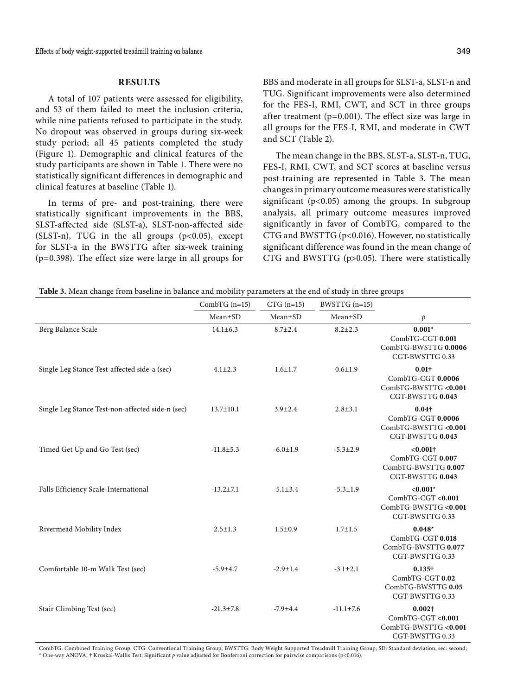# **RESULTS**

A total of 107 patients were assessed for eligibility, and 53 of them failed to meet the inclusion criteria, while nine patients refused to participate in the study. No dropout was observed in groups during six-week study period; all 45 patients completed the study (Figure 1). Demographic and clinical features of the study participants are shown in Table 1. There were no statistically significant differences in demographic and clinical features at baseline (Table 1).

In terms of pre- and post-training, there were statistically significant improvements in the BBS, SLST-affected side (SLST-a), SLST-non-affected side (SLST-n), TUG in the all groups  $(p<0.05)$ , except for SLST-a in the BWSTTG after six-week training (p=0.398). The effect size were large in all groups for BBS and moderate in all groups for SLST-a, SLST-n and TUG. Significant improvements were also determined for the FES-I, RMI, CWT, and SCT in three groups after treatment ( $p=0.001$ ). The effect size was large in all groups for the FES-I, RMI, and moderate in CWT and SCT (Table 2).

The mean change in the BBS, SLST-a, SLST-n, TUG, FES-I, RMI, CWT, and SCT scores at baseline versus post-training are represented in Table 3. The mean changes in primary outcome measures were statistically significant ( $p<0.05$ ) among the groups. In subgroup analysis, all primary outcome measures improved significantly in favor of CombTG, compared to the CTG and BWSTTG (p<0.016). However, no statistically significant difference was found in the mean change of CTG and BWSTTG (p>0.05). There were statistically

|  | <b>Table 3.</b> Mean change from baseline in balance and mobility parameters at the end of study in three groups |  |  |
|--|------------------------------------------------------------------------------------------------------------------|--|--|
|--|------------------------------------------------------------------------------------------------------------------|--|--|

|                                                                                                                                                                 | CombTG $(n=15)$ | $CTG$ (n=15)   | BWSTTG (n=15)   |                                                                                |
|-----------------------------------------------------------------------------------------------------------------------------------------------------------------|-----------------|----------------|-----------------|--------------------------------------------------------------------------------|
|                                                                                                                                                                 | $Mean \pm SD$   | Mean±SD        | $Mean \pm SD$   | $\mathcal{P}$                                                                  |
| Berg Balance Scale                                                                                                                                              | $14.1 \pm 6.3$  | $8.7 \pm 2.4$  | $8.2 \pm 2.3$   | $0.001*$<br>CombTG-CGT 0.001<br>CombTG-BWSTTG 0.0006<br>CGT-BWSTTG 0.33        |
| Single Leg Stance Test-affected side-a (sec)                                                                                                                    | $4.1 \pm 2.3$   | $1.6 + 1.7$    | $0.6 \pm 1.9$   | $0.01\dagger$<br>CombTG-CGT 0.0006<br>CombTG-BWSTTG <0.001<br>CGT-BWSTTG 0.043 |
| Single Leg Stance Test-non-affected side-n (sec)                                                                                                                | $13.7 \pm 10.1$ | $3.9 \pm 2.4$  | $2.8 + 3.1$     | $0.04\dagger$<br>CombTG-CGT 0.0006<br>CombTG-BWSTTG <0.001<br>CGT-BWSTTG 0.043 |
| Timed Get Up and Go Test (sec)                                                                                                                                  | $-11.8 \pm 5.3$ | $-6.0 \pm 1.9$ | $-5.3 \pm 2.9$  | $< 0.001$ †<br>CombTG-CGT 0.007<br>CombTG-BWSTTG 0.007<br>CGT-BWSTTG 0.043     |
| Falls Efficiency Scale-International                                                                                                                            | $-13.2 \pm 7.1$ | $-5.1 \pm 3.4$ | $-5.3 \pm 1.9$  | $< 0.001*$<br>CombTG-CGT <0.001<br>CombTG-BWSTTG <0.001<br>CGT-BWSTTG 0.33     |
| Rivermead Mobility Index                                                                                                                                        | $2.5 \pm 1.3$   | $1.5 \pm 0.9$  | $1.7 + 1.5$     | $0.048*$<br>CombTG-CGT 0.018<br>CombTG-BWSTTG 0.077<br>CGT-BWSTTG 0.33         |
| Comfortable 10-m Walk Test (sec)                                                                                                                                | $-5.9{\pm}4.7$  | $-2.9 \pm 1.4$ | $-3.1 \pm 2.1$  | $0.135\dagger$<br>CombTG-CGT 0.02<br>CombTG-BWSTTG 0.05<br>CGT-BWSTTG 0.33     |
| Stair Climbing Test (sec)                                                                                                                                       | $-21.3 \pm 7.8$ | $-7.9 \pm 4.4$ | $-11.1 \pm 7.6$ | $0.002\dagger$<br>CombTG-CGT <0.001<br>CombTG-BWSTTG <0.001<br>CGT-BWSTTG 0.33 |
| CombTG: Combined Training Group: CTG: Conventional Training Group: BWSTTG: Body Weight Supported Treadmill Training Group: SD: Standard deviation, sec: second: |                 |                |                 |                                                                                |

CombTG: Combined Training Group; CTG: Conventional Training Group; BWSTTG: Body Weight Supported Treadmill Training Group; SD: Standard deviation, sec: second;<br>\* One-way ANOVA; † Kruskal-Wallis Test; Significant *p* value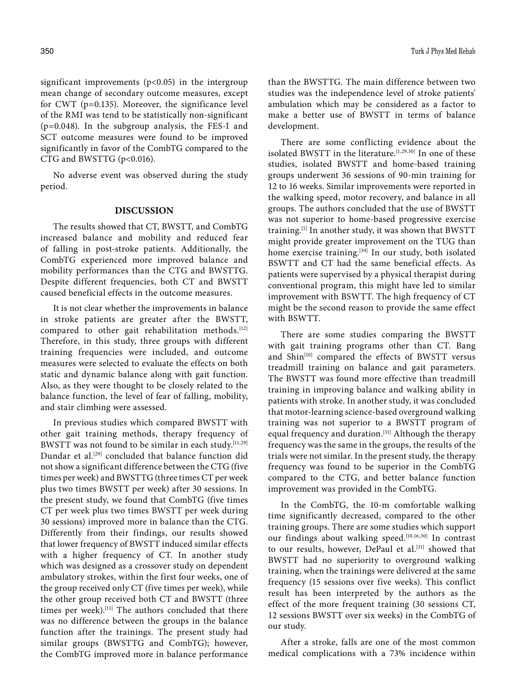significant improvements  $(p<0.05)$  in the intergroup mean change of secondary outcome measures, except for CWT (p=0.135). Moreover, the significance level of the RMI was tend to be statistically non-significant (p=0.048). In the subgroup analysis, the FES-I and SCT outcome measures were found to be improved significantly in favor of the CombTG compared to the CTG and BWSTTG (p<0.016).

No adverse event was observed during the study period.

#### **DISCUSSION**

The results showed that CT, BWSTT, and CombTG increased balance and mobility and reduced fear of falling in post-stroke patients. Additionally, the CombTG experienced more improved balance and mobility performances than the CTG and BWSTTG. Despite different frequencies, both CT and BWSTT caused beneficial effects in the outcome measures.

It is not clear whether the improvements in balance in stroke patients are greater after the BWSTT, compared to other gait rehabilitation methods.[12] Therefore, in this study, three groups with different training frequencies were included, and outcome measures were selected to evaluate the effects on both static and dynamic balance along with gait function. Also, as they were thought to be closely related to the balance function, the level of fear of falling, mobility, and stair climbing were assessed.

In previous studies which compared BWSTT with other gait training methods, therapy frequency of BWSTT was not found to be similar in each study.<sup>[11,29]</sup> Dundar et al.[29] concluded that balance function did not show a significant difference between the CTG (five times per week) and BWSTTG (three times CT per week plus two times BWSTT per week) after 30 sessions. In the present study, we found that CombTG (five times CT per week plus two times BWSTT per week during 30 sessions) improved more in balance than the CTG. Differently from their findings, our results showed that lower frequency of BWSTT induced similar effects with a higher frequency of CT. In another study which was designed as a crossover study on dependent ambulatory strokes, within the first four weeks, one of the group received only CT (five times per week), while the other group received both CT and BWSTT (three times per week).<sup>[11]</sup> The authors concluded that there was no difference between the groups in the balance function after the trainings. The present study had similar groups (BWSTTG and CombTG); however, the CombTG improved more in balance performance

than the BWSTTG. The main difference between two studies was the independence level of stroke patients' ambulation which may be considered as a factor to make a better use of BWSTT in terms of balance development.

There are some conflicting evidence about the isolated BWSTT in the literature.<sup>[1,29,30]</sup> In one of these studies, isolated BWSTT and home-based training groups underwent 36 sessions of 90-min training for 12 to 16 weeks. Similar improvements were reported in the walking speed, motor recovery, and balance in all groups. The authors concluded that the use of BWSTT was not superior to home-based progressive exercise training.[1] In another study, it was shown that BWSTT might provide greater improvement on the TUG than home exercise training.<sup>[30]</sup> In our study, both isolated BSWTT and CT had the same beneficial effects. As patients were supervised by a physical therapist during conventional program, this might have led to similar improvement with BSWTT. The high frequency of CT might be the second reason to provide the same effect with BSWTT.

There are some studies comparing the BWSTT with gait training programs other than CT. Bang and Shin<sup>[10]</sup> compared the effects of BWSTT versus treadmill training on balance and gait parameters. The BWSTT was found more effective than treadmill training in improving balance and walking ability in patients with stroke. In another study, it was concluded that motor-learning science-based overground walking training was not superior to a BWSTT program of equal frequency and duration.<sup>[31]</sup> Although the therapy frequency was the same in the groups, the results of the trials were not similar. In the present study, the therapy frequency was found to be superior in the CombTG compared to the CTG, and better balance function improvement was provided in the CombTG.

In the CombTG, the 10-m comfortable walking time significantly decreased, compared to the other training groups. There are some studies which support our findings about walking speed.<sup>[10,16,30]</sup> In contrast to our results, however, DePaul et al.<sup>[31]</sup> showed that BWSTT had no superiority to overground walking training, when the trainings were delivered at the same frequency (15 sessions over five weeks). This conflict result has been interpreted by the authors as the effect of the more frequent training (30 sessions CT, 12 sessions BWSTT over six weeks) in the CombTG of our study.

After a stroke, falls are one of the most common medical complications with a 73% incidence within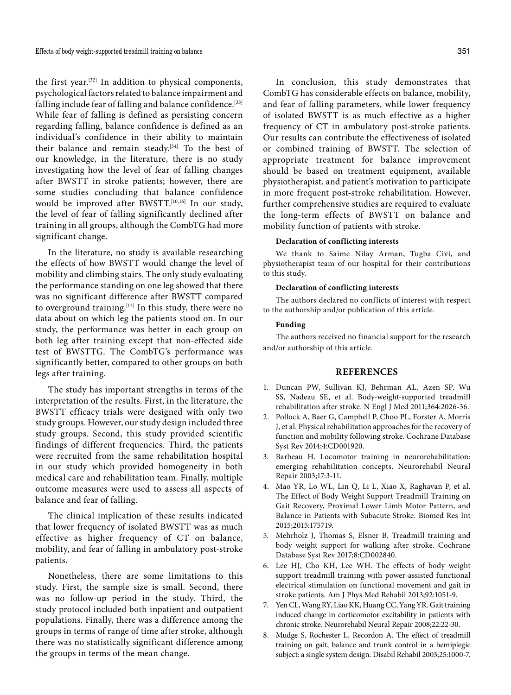the first year.[32] In addition to physical components, psychological factors related to balance impairment and falling include fear of falling and balance confidence.<sup>[33]</sup> While fear of falling is defined as persisting concern regarding falling, balance confidence is defined as an individual's confidence in their ability to maintain their balance and remain steady.[34] To the best of our knowledge, in the literature, there is no study investigating how the level of fear of falling changes after BWSTT in stroke patients; however, there are some studies concluding that balance confidence would be improved after BWSTT.[10,16] In our study, the level of fear of falling significantly declined after training in all groups, although the CombTG had more significant change.

In the literature, no study is available researching the effects of how BWSTT would change the level of mobility and climbing stairs. The only study evaluating the performance standing on one leg showed that there was no significant difference after BWSTT compared to overground training.<sup>[13]</sup> In this study, there were no data about on which leg the patients stood on. In our study, the performance was better in each group on both leg after training except that non-effected side test of BWSTTG. The CombTG's performance was significantly better, compared to other groups on both legs after training.

The study has important strengths in terms of the interpretation of the results. First, in the literature, the BWSTT efficacy trials were designed with only two study groups. However, our study design included three study groups. Second, this study provided scientific findings of different frequencies. Third, the patients were recruited from the same rehabilitation hospital in our study which provided homogeneity in both medical care and rehabilitation team. Finally, multiple outcome measures were used to assess all aspects of balance and fear of falling.

The clinical implication of these results indicated that lower frequency of isolated BWSTT was as much effective as higher frequency of CT on balance, mobility, and fear of falling in ambulatory post-stroke patients.

Nonetheless, there are some limitations to this study. First, the sample size is small. Second, there was no follow-up period in the study. Third, the study protocol included both inpatient and outpatient populations. Finally, there was a difference among the groups in terms of range of time after stroke, although there was no statistically significant difference among the groups in terms of the mean change.

In conclusion, this study demonstrates that CombTG has considerable effects on balance, mobility, and fear of falling parameters, while lower frequency of isolated BWSTT is as much effective as a higher frequency of CT in ambulatory post-stroke patients. Our results can contribute the effectiveness of isolated or combined training of BWSTT. The selection of appropriate treatment for balance improvement should be based on treatment equipment, available physiotherapist, and patient's motivation to participate in more frequent post-stroke rehabilitation. However, further comprehensive studies are required to evaluate the long-term effects of BWSTT on balance and mobility function of patients with stroke.

#### **Declaration of conflicting interests**

We thank to Saime Nilay Arman, Tugba Civi, and physiotherapist team of our hospital for their contributions to this study.

#### **Declaration of conflicting interests**

The authors declared no conflicts of interest with respect to the authorship and/or publication of this article.

#### **Funding**

The authors received no financial support for the research and/or authorship of this article.

#### **REFERENCES**

- 1. Duncan PW, Sullivan KJ, Behrman AL, Azen SP, Wu SS, Nadeau SE, et al. Body-weight-supported treadmill rehabilitation after stroke. N Engl J Med 2011;364:2026-36.
- 2. Pollock A, Baer G, Campbell P, Choo PL, Forster A, Morris J, et al. Physical rehabilitation approaches for the recovery of function and mobility following stroke. Cochrane Database Syst Rev 2014;4:CD001920.
- 3. Barbeau H. Locomotor training in neurorehabilitation: emerging rehabilitation concepts. Neurorehabil Neural Repair 2003;17:3-11.
- 4. Mao YR, Lo WL, Lin Q, Li L, Xiao X, Raghavan P, et al. The Effect of Body Weight Support Treadmill Training on Gait Recovery, Proximal Lower Limb Motor Pattern, and Balance in Patients with Subacute Stroke. Biomed Res Int 2015;2015:175719.
- 5. Mehrholz J, Thomas S, Elsner B. Treadmill training and body weight support for walking after stroke. Cochrane Database Syst Rev 2017;8:CD002840.
- 6. Lee HJ, Cho KH, Lee WH. The effects of body weight support treadmill training with power-assisted functional electrical stimulation on functional movement and gait in stroke patients. Am J Phys Med Rehabil 2013;92:1051-9.
- 7. Yen CL, Wang RY, Liao KK, Huang CC, Yang YR. Gait training induced change in corticomotor excitability in patients with chronic stroke. Neurorehabil Neural Repair 2008;22:22-30.
- 8. Mudge S, Rochester L, Recordon A. The effect of treadmill training on gait, balance and trunk control in a hemiplegic subject: a single system design. Disabil Rehabil 2003;25:1000-7.